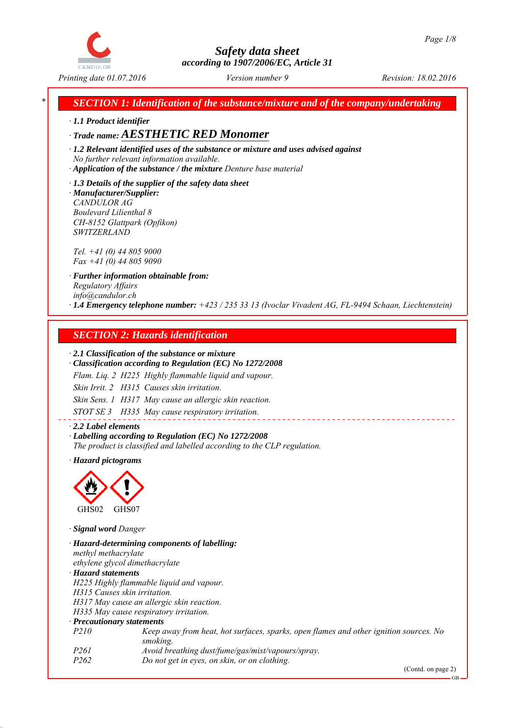

*\* SECTION 1: Identification of the substance/mixture and of the company/undertaking*

*∙ 1.1 Product identifier*

## *∙ Trade name: AESTHETIC RED Monomer*

*∙ 1.2 Relevant identified uses of the substance or mixture and uses advised against No further relevant information available.*

*∙ Application of the substance / the mixture Denture base material*

*∙ 1.3 Details of the supplier of the safety data sheet ∙ Manufacturer/Supplier: CANDULOR AG Boulevard Lilienthal 8 CH-8152 Glattpark (Opfikon) SWITZERLAND*

*Tel. +41 (0) 44 805 9000 Fax +41 (0) 44 805 9090*

*∙ Further information obtainable from: Regulatory Affairs info@candulor.ch ∙ 1.4 Emergency telephone number: +423 / 235 33 13 (Ivoclar Vivadent AG, FL-9494 Schaan, Liechtenstein)*

## *SECTION 2: Hazards identification*

#### *∙ 2.1 Classification of the substance or mixture*

*∙ Classification according to Regulation (EC) No 1272/2008*

*Flam. Liq. 2 H225 Highly flammable liquid and vapour.*

*Skin Irrit. 2 H315 Causes skin irritation.*

*Skin Sens. 1 H317 May cause an allergic skin reaction.*

*STOT SE 3 H335 May cause respiratory irritation.*

*∙ 2.2 Label elements ∙ Labelling according to Regulation (EC) No 1272/2008 The product is classified and labelled according to the CLP regulation.*

*∙ Hazard pictograms*



*∙ Signal word Danger*

*∙ Hazard-determining components of labelling: methyl methacrylate ethylene glycol dimethacrylate ∙ Hazard statements H225 Highly flammable liquid and vapour. H315 Causes skin irritation. H317 May cause an allergic skin reaction. H335 May cause respiratory irritation. ∙ Precautionary statements P210 Keep away from heat, hot surfaces, sparks, open flames and other ignition sources. No smoking. P261 Avoid breathing dust/fume/gas/mist/vapours/spray. P262 Do not get in eyes, on skin, or on clothing.*

(Contd. on page 2)

GB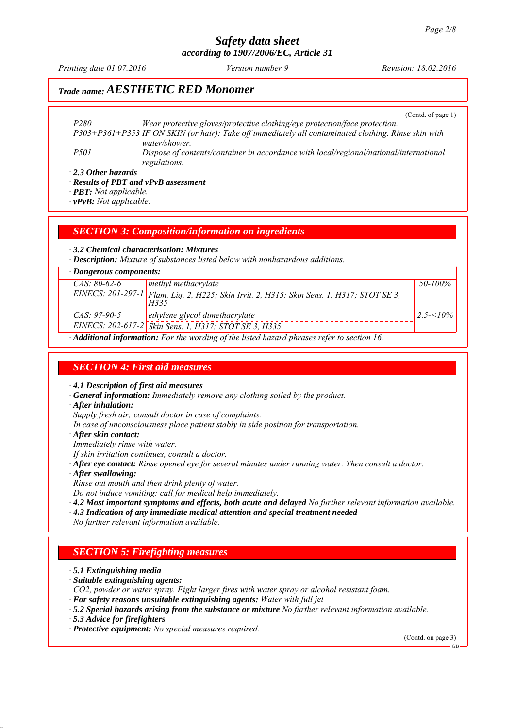*Printing date 01.07.2016 Revision: 18.02.2016 Version number 9*

## *Trade name: AESTHETIC RED Monomer*

(Contd. of page 1)

*P280 Wear protective gloves/protective clothing/eye protection/face protection. P303+P361+P353 IF ON SKIN (or hair): Take off immediately all contaminated clothing. Rinse skin with water/shower. P501 Dispose of contents/container in accordance with local/regional/national/international regulations.*

*∙ 2.3 Other hazards*

*∙ Results of PBT and vPvB assessment*

*∙ PBT: Not applicable.*

*∙ vPvB: Not applicable.*

#### *SECTION 3: Composition/information on ingredients*

*∙ 3.2 Chemical characterisation: Mixtures*

*∙ Description: Mixture of substances listed below with nonhazardous additions.*

| $\cdot$ Dangerous components: |                                                                                                         |              |  |
|-------------------------------|---------------------------------------------------------------------------------------------------------|--------------|--|
| $CAS: 80-62-6$                | methyl methacrylate                                                                                     | 50-100%      |  |
|                               | EINECS: 201-297-1 Flam. Lig. 2, H225; Skin Irrit. 2, H315; Skin Sens. 1, H317; STOT SE 3,<br>H335       |              |  |
| $CAS: 97-90-5$                | ethylene glycol dimethacrylate                                                                          | $2.5 - 10\%$ |  |
|                               | EINECS: 202-617-2 Skin Sens. 1, H317; STOT SE 3, H335                                                   |              |  |
|                               | $\cdot$ <b>Additional information:</b> For the wording of the listed hazard phrases refer to section 16 |              |  |

*∙ Additional information: For the wording of the listed hazard phrases refer to section 16.*

#### *SECTION 4: First aid measures*

*∙ 4.1 Description of first aid measures*

- *∙ General information: Immediately remove any clothing soiled by the product.*
- *∙ After inhalation:*

*Supply fresh air; consult doctor in case of complaints.*

- *In case of unconsciousness place patient stably in side position for transportation.*
- *∙ After skin contact:*

*Immediately rinse with water.*

- *If skin irritation continues, consult a doctor.*
- *∙ After eye contact: Rinse opened eye for several minutes under running water. Then consult a doctor.*
- *∙ After swallowing:*
- *Rinse out mouth and then drink plenty of water.*

*Do not induce vomiting; call for medical help immediately.*

- *∙ 4.2 Most important symptoms and effects, both acute and delayed No further relevant information available.*
- *∙ 4.3 Indication of any immediate medical attention and special treatment needed*
- *No further relevant information available.*

#### *SECTION 5: Firefighting measures*

*∙ 5.1 Extinguishing media*

- *∙ Suitable extinguishing agents:*
- *CO2, powder or water spray. Fight larger fires with water spray or alcohol resistant foam.*
- *∙ For safety reasons unsuitable extinguishing agents: Water with full jet*
- *∙ 5.2 Special hazards arising from the substance or mixture No further relevant information available.*
- *∙ 5.3 Advice for firefighters*

*∙ Protective equipment: No special measures required.*

(Contd. on page 3)

GB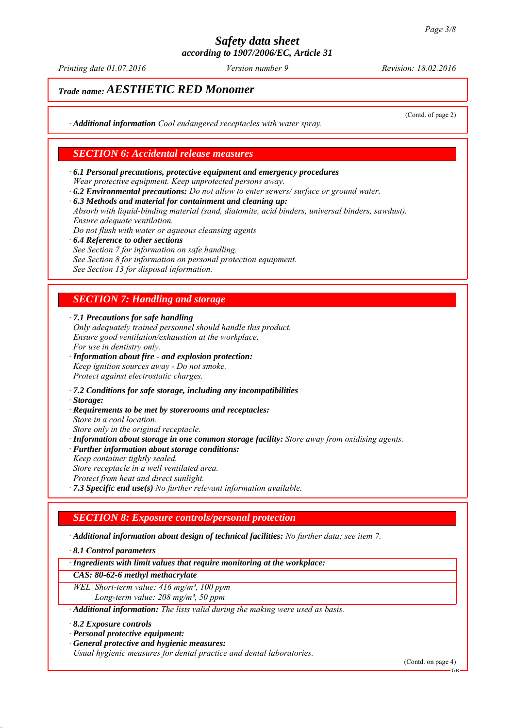*Printing date 01.07.2016 Revision: 18.02.2016 Version number 9*

(Contd. of page 2)

## *Trade name: AESTHETIC RED Monomer*

*∙ Additional information Cool endangered receptacles with water spray.*

#### *SECTION 6: Accidental release measures*

- *∙ 6.1 Personal precautions, protective equipment and emergency procedures Wear protective equipment. Keep unprotected persons away.*
- *∙ 6.2 Environmental precautions: Do not allow to enter sewers/ surface or ground water.*
- *∙ 6.3 Methods and material for containment and cleaning up:*

*Absorb with liquid-binding material (sand, diatomite, acid binders, universal binders, sawdust). Ensure adequate ventilation.*

- *Do not flush with water or aqueous cleansing agents*
- *∙ 6.4 Reference to other sections See Section 7 for information on safe handling. See Section 8 for information on personal protection equipment. See Section 13 for disposal information.*

## *SECTION 7: Handling and storage*

*∙ 7.1 Precautions for safe handling*

- *Only adequately trained personnel should handle this product. Ensure good ventilation/exhaustion at the workplace. For use in dentistry only.*
- *∙ Information about fire and explosion protection: Keep ignition sources away - Do not smoke. Protect against electrostatic charges.*
- *∙ 7.2 Conditions for safe storage, including any incompatibilities*
- *∙ Storage:*
- *∙ Requirements to be met by storerooms and receptacles:*
- *Store in a cool location.*
- *Store only in the original receptacle. ∙ Information about storage in one common storage facility: Store away from oxidising agents.*
- *∙ Further information about storage conditions:*
- *Keep container tightly sealed. Store receptacle in a well ventilated area.*
- *Protect from heat and direct sunlight.*
- *∙ 7.3 Specific end use(s) No further relevant information available.*

#### *SECTION 8: Exposure controls/personal protection*

*∙ Additional information about design of technical facilities: No further data; see item 7.*

*∙ 8.1 Control parameters*

*∙ Ingredients with limit values that require monitoring at the workplace:*

#### *CAS: 80-62-6 methyl methacrylate*

*WEL Short-term value: 416 mg/m³, 100 ppm Long-term value: 208 mg/m³, 50 ppm*

*∙ Additional information: The lists valid during the making were used as basis.*

*∙ 8.2 Exposure controls*

- *∙ Personal protective equipment:*
- *∙ General protective and hygienic measures:*

*Usual hygienic measures for dental practice and dental laboratories.*

(Contd. on page 4)

GB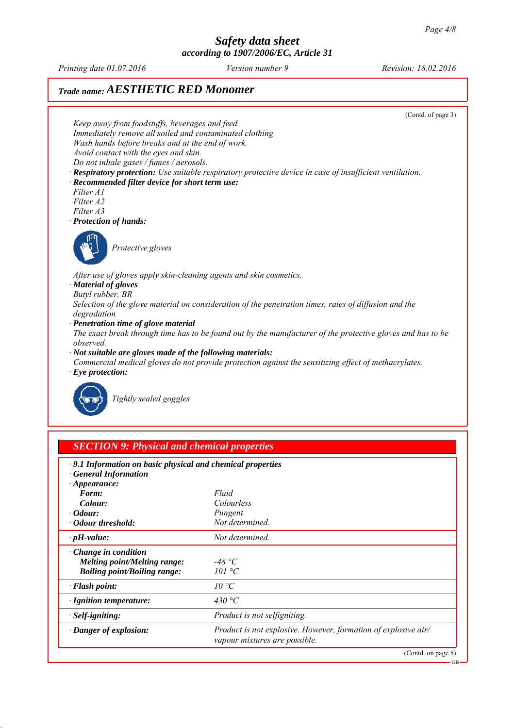*Printing date 01.07.2016 Revision: 18.02.2016 Version number 9*

# *Trade name: AESTHETIC RED Monomer*



| .9.1 Information on basic physical and chemical properties<br><b>General Information</b> |                                                                                                 |
|------------------------------------------------------------------------------------------|-------------------------------------------------------------------------------------------------|
| $\cdot$ Appearance:                                                                      |                                                                                                 |
| Form:                                                                                    | Fluid                                                                                           |
| Colour:                                                                                  | Colourless                                                                                      |
| $\cdot$ Odour:                                                                           | Pungent                                                                                         |
| · Odour threshold:                                                                       | Not determined.                                                                                 |
| $\cdot$ pH-value:                                                                        | Not determined.                                                                                 |
| $\cdot$ Change in condition                                                              |                                                                                                 |
| <b>Melting point/Melting range:</b>                                                      | -48 °C                                                                                          |
| <b>Boiling point/Boiling range:</b>                                                      | 101 °C                                                                                          |
| · Flash point:                                                                           | $10^{\circ}C$                                                                                   |
| · Ignition temperature:                                                                  | 430 °C                                                                                          |
| · Self-igniting:                                                                         | Product is not selfigniting.                                                                    |
| · Danger of explosion:                                                                   | Product is not explosive. However, formation of explosive air/<br>vapour mixtures are possible. |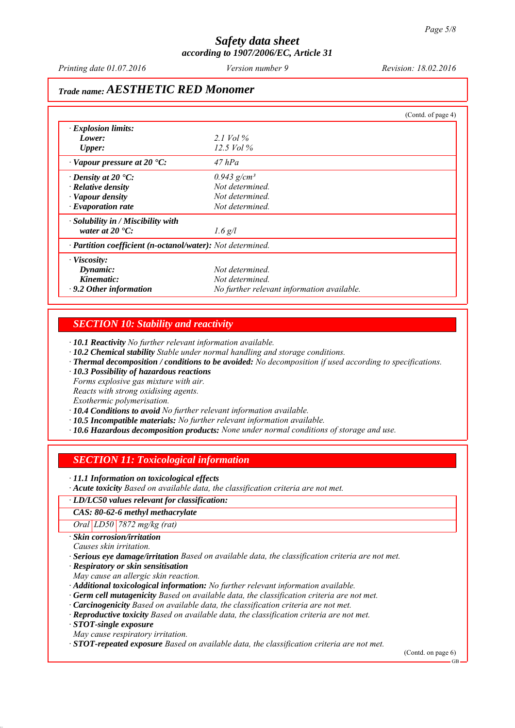*Printing date 01.07.2016 Revision: 18.02.2016 Version number 9*

## *Trade name: AESTHETIC RED Monomer*

|                                                            |                                            | (Contd. of page 4) |
|------------------------------------------------------------|--------------------------------------------|--------------------|
| $\cdot$ Explosion limits:                                  |                                            |                    |
| Lower:                                                     | 2.1 Vol $\%$                               |                    |
| <b>Upper:</b>                                              | 12.5 Vol $\%$                              |                    |
| $\cdot$ Vapour pressure at 20 $\cdot$ C:                   | $47$ hPa                                   |                    |
| $\cdot$ Density at 20 $\cdot$ C:                           | $0.943$ g/cm <sup>3</sup>                  |                    |
| $\cdot$ Relative density                                   | Not determined.                            |                    |
| · Vapour density                                           | Not determined.                            |                    |
| $\cdot$ Evaporation rate                                   | Not determined.                            |                    |
| $\cdot$ Solubility in / Miscibility with                   |                                            |                    |
| water at $20^{\circ}$ C:                                   | $1.6$ g/l                                  |                    |
| · Partition coefficient (n-octanol/water): Not determined. |                                            |                    |
| $\cdot$ Viscosity:                                         |                                            |                    |
| Dynamic:                                                   | Not determined.                            |                    |
| Kinematic:                                                 | Not determined.                            |                    |
| $\cdot$ 9.2 Other information                              | No further relevant information available. |                    |

#### *SECTION 10: Stability and reactivity*

*∙ 10.1 Reactivity No further relevant information available.*

- *∙ 10.2 Chemical stability Stable under normal handling and storage conditions.*
- *∙ Thermal decomposition / conditions to be avoided: No decomposition if used according to specifications.*
- *∙ 10.3 Possibility of hazardous reactions*
- *Forms explosive gas mixture with air.*

*Reacts with strong oxidising agents.*

*Exothermic polymerisation.*

- *∙ 10.4 Conditions to avoid No further relevant information available.*
- *∙ 10.5 Incompatible materials: No further relevant information available.*
- *∙ 10.6 Hazardous decomposition products: None under normal conditions of storage and use.*

#### *SECTION 11: Toxicological information*

*∙ 11.1 Information on toxicological effects*

*∙ Acute toxicity Based on available data, the classification criteria are not met.*

#### *∙ LD/LC50 values relevant for classification:*

*CAS: 80-62-6 methyl methacrylate*

*Oral LD50 7872 mg/kg (rat)*

*∙ Skin corrosion/irritation*

*Causes skin irritation.*

*∙ Serious eye damage/irritation Based on available data, the classification criteria are not met.*

*∙ Respiratory or skin sensitisation*

*May cause an allergic skin reaction.*

*∙ Additional toxicological information: No further relevant information available.*

- *∙ Germ cell mutagenicity Based on available data, the classification criteria are not met.*
- *∙ Carcinogenicity Based on available data, the classification criteria are not met.*
- *∙ Reproductive toxicity Based on available data, the classification criteria are not met.*

*∙ STOT-single exposure*

*May cause respiratory irritation.*

*∙ STOT-repeated exposure Based on available data, the classification criteria are not met.*

(Contd. on page 6)

GB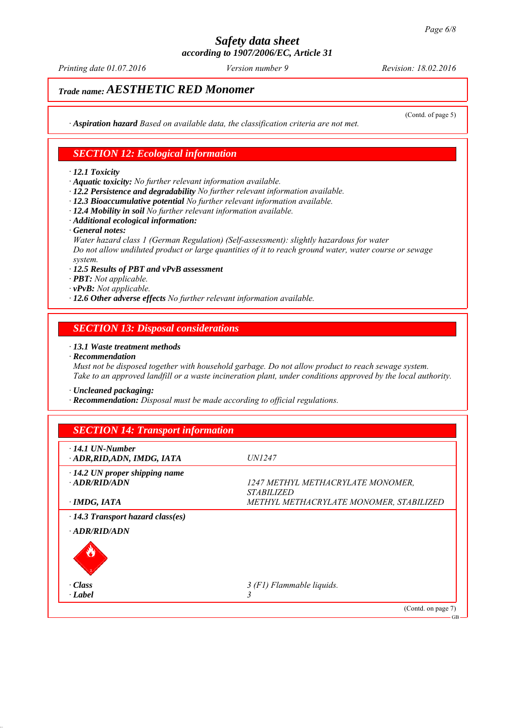*Printing date 01.07.2016 Revision: 18.02.2016 Version number 9*

(Contd. of page 5)

# *Trade name: AESTHETIC RED Monomer*

*∙ Aspiration hazard Based on available data, the classification criteria are not met.*

#### *SECTION 12: Ecological information*

#### *∙ 12.1 Toxicity*

*∙ Aquatic toxicity: No further relevant information available.*

- *∙ 12.2 Persistence and degradability No further relevant information available.*
- *∙ 12.3 Bioaccumulative potential No further relevant information available.*
- *∙ 12.4 Mobility in soil No further relevant information available.*
- *∙ Additional ecological information:*
- *∙ General notes:*

*Water hazard class 1 (German Regulation) (Self-assessment): slightly hazardous for water Do not allow undiluted product or large quantities of it to reach ground water, water course or sewage system.*

- *∙ 12.5 Results of PBT and vPvB assessment*
- *∙ PBT: Not applicable.*
- *∙ vPvB: Not applicable.*
- *∙ 12.6 Other adverse effects No further relevant information available.*

#### *SECTION 13: Disposal considerations*

#### *∙ 13.1 Waste treatment methods*

*∙ Recommendation*

*Must not be disposed together with household garbage. Do not allow product to reach sewage system. Take to an approved landfill or a waste incineration plant, under conditions approved by the local authority.*

*∙ Uncleaned packaging:*

*∙ Recommendation: Disposal must be made according to official regulations.*

| $\cdot$ 14.1 UN-Number                  |                                          |
|-----------------------------------------|------------------------------------------|
| ADR, RID, ADN, IMDG, IATA               | <i>UN1247</i>                            |
| $\cdot$ 14.2 UN proper shipping name    |                                          |
| $-ADR/RID/ADN$                          | <i>1247 METHYL METHACRYLATE MONOMER,</i> |
|                                         | <i>STABILIZED</i>                        |
| · IMDG, IATA                            | METHYL METHACRYLATE MONOMER, STABILIZED  |
| $\cdot$ 14.3 Transport hazard class(es) |                                          |
| $\cdot$ ADR/RID/ADN                     |                                          |
| $\cdot Class$                           | 3 (F1) Flammable liquids.                |
| $\cdot$ <i>Label</i>                    |                                          |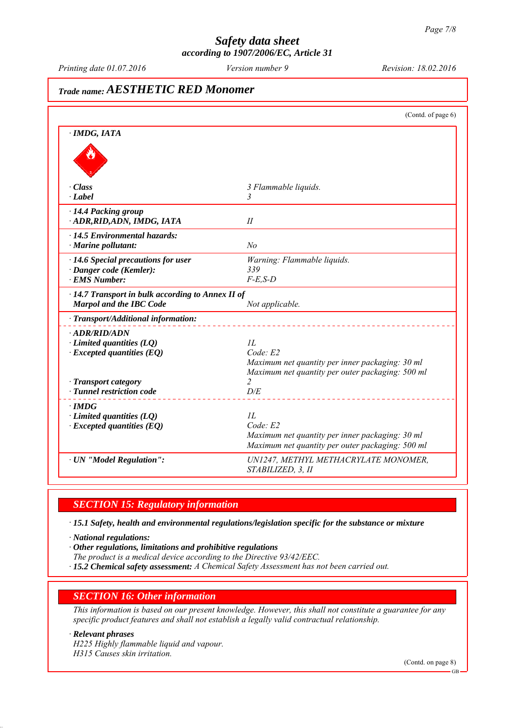*Printing date 01.07.2016 Revision: 18.02.2016 Version number 9*

# *Trade name: AESTHETIC RED Monomer*

|                                                                                           | (Contd. of page 6)                                                                                                     |
|-------------------------------------------------------------------------------------------|------------------------------------------------------------------------------------------------------------------------|
| · IMDG, IATA                                                                              |                                                                                                                        |
|                                                                                           |                                                                                                                        |
| · Class                                                                                   | 3 Flammable liquids.                                                                                                   |
| $\cdot$ <i>Label</i>                                                                      | 3                                                                                                                      |
| 14.4 Packing group<br>ADR, RID, ADN, IMDG, IATA                                           | II                                                                                                                     |
| · 14.5 Environmental hazards:<br>$\cdot$ Marine pollutant:                                | No                                                                                                                     |
| $\cdot$ 14.6 Special precautions for user                                                 | Warning: Flammable liquids.                                                                                            |
| · Danger code (Kemler):                                                                   | 339                                                                                                                    |
| <b>EMS Number:</b>                                                                        | $F-E$ , $S-D$                                                                                                          |
| $\cdot$ 14.7 Transport in bulk according to Annex II of<br><b>Marpol and the IBC Code</b> | Not applicable.                                                                                                        |
| · Transport/Additional information:                                                       |                                                                                                                        |
| · ADR/RID/ADN<br>$\cdot$ Limited quantities (LQ)<br>$\cdot$ Excepted quantities (EQ)      | II.<br>Code: E2<br>Maximum net quantity per inner packaging: 30 ml<br>Maximum net quantity per outer packaging: 500 ml |
| · Transport category                                                                      | $\overline{c}$                                                                                                         |
| · Tunnel restriction code                                                                 | D/E                                                                                                                    |
| · IMDG<br>$\cdot$ Limited quantities (LQ)<br>$\cdot$ Excepted quantities (EQ)             | IL<br>Code: E2<br>Maximum net quantity per inner packaging: 30 ml<br>Maximum net quantity per outer packaging: 500 ml  |
| · UN "Model Regulation":                                                                  | UN1247, METHYL METHACRYLATE MONOMER,<br>STABILIZED, 3, II                                                              |

#### *SECTION 15: Regulatory information*

*∙ 15.1 Safety, health and environmental regulations/legislation specific for the substance or mixture*

*∙ National regulations:*

*∙ Other regulations, limitations and prohibitive regulations*

- *The product is a medical device according to the Directive 93/42/EEC.*
- *∙ 15.2 Chemical safety assessment: A Chemical Safety Assessment has not been carried out.*

#### *SECTION 16: Other information*

*This information is based on our present knowledge. However, this shall not constitute a guarantee for any specific product features and shall not establish a legally valid contractual relationship.*

#### *∙ Relevant phrases*

*H225 Highly flammable liquid and vapour. H315 Causes skin irritation.*

(Contd. on page 8)

GB